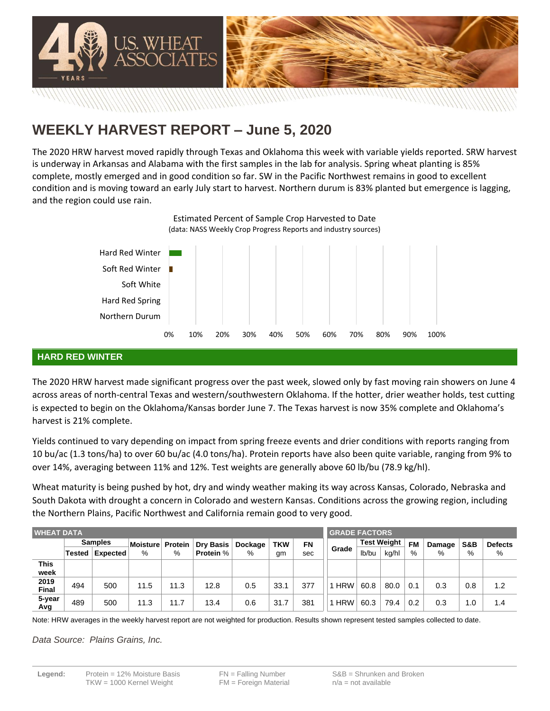

# **WEEKLY HARVEST REPORT – June 5, 2020**

The 2020 HRW harvest moved rapidly through Texas and Oklahoma this week with variable yields reported. SRW harvest is underway in Arkansas and Alabama with the first samples in the lab for analysis. Spring wheat planting is 85% complete, mostly emerged and in good condition so far. SW in the Pacific Northwest remains in good to excellent condition and is moving toward an early July start to harvest. Northern durum is 83% planted but emergence is lagging, and the region could use rain.

Estimated Percent of Sample Crop Harvested to Date

0% 10% 20% 30% 40% 50% 60% 70% 80% 90% 100% Northern Durum Hard Red Spring Soft White Soft Red Winter Hard Red Winter (data: NASS Weekly Crop Progress Reports and industry sources)

## **HARD RED WINTER**

The 2020 HRW harvest made significant progress over the past week, slowed only by fast moving rain showers on June 4 across areas of north-central Texas and western/southwestern Oklahoma. If the hotter, drier weather holds, test cutting is expected to begin on the Oklahoma/Kansas border June 7. The Texas harvest is now 35% complete and Oklahoma's harvest is 21% complete.

Yields continued to vary depending on impact from spring freeze events and drier conditions with reports ranging from 10 bu/ac (1.3 tons/ha) to over 60 bu/ac (4.0 tons/ha). Protein reports have also been quite variable, ranging from 9% to over 14%, averaging between 11% and 12%. Test weights are generally above 60 lb/bu (78.9 kg/hl).

Wheat maturity is being pushed by hot, dry and windy weather making its way across Kansas, Colorado, Nebraska and South Dakota with drought a concern in Colorado and western Kansas. Conditions across the growing region, including the Northern Plains, Pacific Northwest and California remain good to very good.

| <b>WHEAT DATA</b>    |        |                |          |                | <b>GRADE FACTORS</b> |         |            |     |            |                    |       |           |        |     |                |
|----------------------|--------|----------------|----------|----------------|----------------------|---------|------------|-----|------------|--------------------|-------|-----------|--------|-----|----------------|
|                      |        | <b>Samples</b> | Moisture | <b>Protein</b> | <b>Dry Basis</b>     | Dockage | <b>TKW</b> | FN  |            | <b>Test Weight</b> |       | <b>FM</b> | Damage | S&B | <b>Defects</b> |
|                      | Tested | Expected       | %        | %              | <b>Protein</b> %     | %       | gm         | sec | Grade      | lb/bu              | kg/hl | $\%$      | %      | %   | %              |
| <b>This</b><br>week  |        |                |          |                |                      |         |            |     |            |                    |       |           |        |     |                |
| 2019<br><b>Final</b> | 494    | 500            | 11.5     | 11.3           | 12.8                 | 0.5     | 33.1       | 377 | <b>HRW</b> | 60.8               | 80.0  | 0.1       | 0.3    | 0.8 | 1.2            |
| 5-year<br>Avg        | 489    | 500            | 11.3     | 11.7           | 13.4                 | 0.6     | 31.7       | 381 | <b>HRW</b> | 60.3               | 79.4  | 0.2       | 0.3    | 1.0 | 1.4            |

Note: HRW averages in the weekly harvest report are not weighted for production. Results shown represent tested samples collected to date.

*Data Source: Plains Grains, Inc.*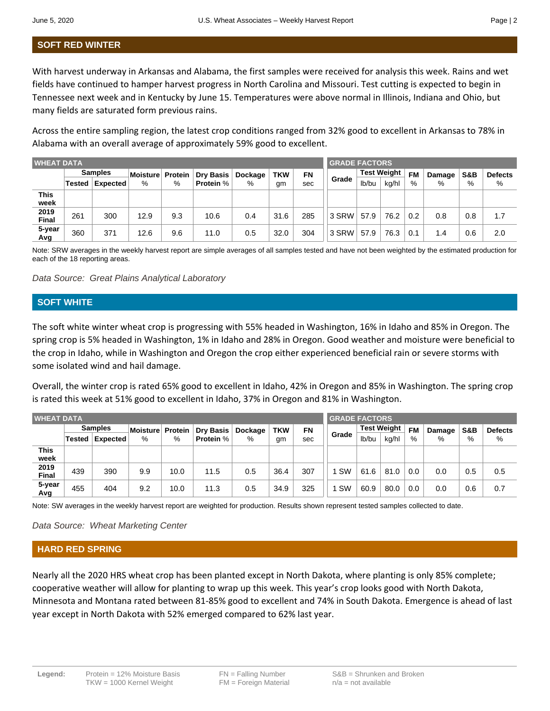## **SOFT RED WINTER**

With harvest underway in Arkansas and Alabama, the first samples were received for analysis this week. Rains and wet fields have continued to hamper harvest progress in North Carolina and Missouri. Test cutting is expected to begin in Tennessee next week and in Kentucky by June 15. Temperatures were above normal in Illinois, Indiana and Ohio, but many fields are saturated form previous rains.

Across the entire sampling region, the latest crop conditions ranged from 32% good to excellent in Arkansas to 78% in Alabama with an overall average of approximately 59% good to excellent.

| <b>WHEAT DATA</b>    |          |                |          |         | <b>GRADE FACTORS</b> |         |            |     |       |                    |       |           |        |     |                |
|----------------------|----------|----------------|----------|---------|----------------------|---------|------------|-----|-------|--------------------|-------|-----------|--------|-----|----------------|
|                      |          | <b>Samples</b> | Moisture | Protein | <b>Dry Basis</b>     | Dockage | <b>TKW</b> | FN  |       | <b>Test Weight</b> |       | <b>FM</b> | Damage | S&B | <b>Defects</b> |
|                      | Tested l | Expected       | %        | %       | <b>Protein %</b>     | %       | gm         | sec | Grade | lb/bu              | kg/hl | $\%$      | %      | %   | %              |
| This<br>week         |          |                |          |         |                      |         |            |     |       |                    |       |           |        |     |                |
| 2019<br><b>Final</b> | 261      | 300            | 12.9     | 9.3     | 10.6                 | 0.4     | 31.6       | 285 | 3 SRW | 57.9               | 76.2  | 0.2       | 0.8    | 0.8 | 1.7            |
| 5-year<br>Avg        | 360      | 371            | 12.6     | 9.6     | 11.0                 | 0.5     | 32.0       | 304 | 3 SRW | 57.9               | 76.3  | 0.1       | 1.4    | 0.6 | 2.0            |

Note: SRW averages in the weekly harvest report are simple averages of all samples tested and have not been weighted by the estimated production for each of the 18 reporting areas.

*Data Source: Great Plains Analytical Laboratory*

#### **SOFT WHITE**

The soft white winter wheat crop is progressing with 55% headed in Washington, 16% in Idaho and 85% in Oregon. The spring crop is 5% headed in Washington, 1% in Idaho and 28% in Oregon. Good weather and moisture were beneficial to the crop in Idaho, while in Washington and Oregon the crop either experienced beneficial rain or severe storms with some isolated wind and hail damage.

Overall, the winter crop is rated 65% good to excellent in Idaho, 42% in Oregon and 85% in Washington. The spring crop is rated this week at 51% good to excellent in Idaho, 37% in Oregon and 81% in Washington.

| <b>WHEAT DATA</b>    |                |          |          |         | <b>GRADE FACTORS</b> |         |            |     |           |                    |       |           |        |     |                |
|----------------------|----------------|----------|----------|---------|----------------------|---------|------------|-----|-----------|--------------------|-------|-----------|--------|-----|----------------|
|                      | <b>Samples</b> |          | Moisture | Protein | <b>Dry Basis</b>     | Dockage | <b>TKW</b> | FN  | Grade     | <b>Test Weight</b> |       | <b>FM</b> | Damage | S&B | <b>Defects</b> |
|                      | Tested         | Expected | %        | %       | Protein %            | %       | gm         | sec |           | lb/bu              | kg/hl | %         | %      | %   | %              |
| <b>This</b><br>week  |                |          |          |         |                      |         |            |     |           |                    |       |           |        |     |                |
| 2019<br><b>Final</b> | 439            | 390      | 9.9      | 10.0    | 11.5                 | 0.5     | 36.4       | 307 | <b>SW</b> | 61.6               | 81.0  | 0.0       | 0.0    | 0.5 | 0.5            |
| 5-year<br>Avg        | 455            | 404      | 9.2      | 10.0    | 11.3                 | 0.5     | 34.9       | 325 | <b>SW</b> | 60.9               | 80.0  | 0.0       | 0.0    | 0.6 | 0.7            |

Note: SW averages in the weekly harvest report are weighted for production. Results shown represent tested samples collected to date.

*Data Source: Wheat Marketing Center*

#### **HARD RED SPRING**

Nearly all the 2020 HRS wheat crop has been planted except in North Dakota, where planting is only 85% complete; cooperative weather will allow for planting to wrap up this week. This year's crop looks good with North Dakota, Minnesota and Montana rated between 81-85% good to excellent and 74% in South Dakota. Emergence is ahead of last year except in North Dakota with 52% emerged compared to 62% last year.